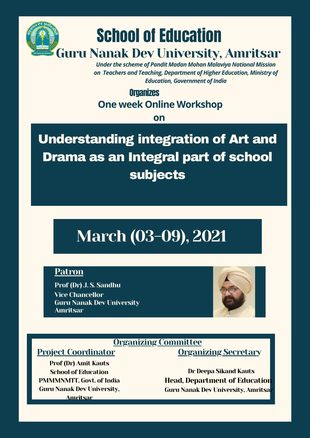

subjects

Prof (Dr) J. S. Sandhu Vice Chancellor Guru Nanak Dev University Amritsar



### Organizing Committee

# Project Coordinator

Prof (Dr) Amit Kauts School of Education PMMMNMTT, Govt. of India Guru Nanak Dev University, Amritsar

Organizing Secretary

Dr Deepa Sikand Kauts Head, Department of Education Guru Nanak Dev University, Amritsar

# March (03-09), 2021

#### **Patron**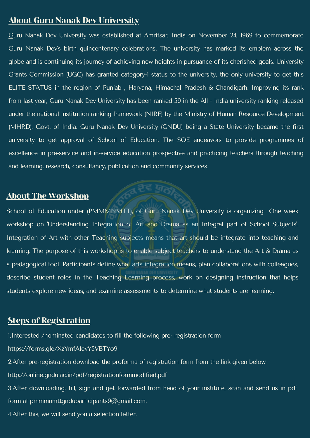## About Guru Nanak Dev University

Guru Nanak Dev University was established at Amritsar, India on November 24, 1969 to commemorate Guru Nanak Dev 's birth quincentenary celebrations. The university has marked its emblem across the globe and is continuing its journey of achieving new heights in pursuance of its cherished goals. University Grants Commission (UGC) has granted category-1 status to the university, the only university to get this ELITE STATUS in the region of Punjab , Haryana, Himachal Pradesh & Chandigarh. Improving its rank from last year, Guru Nanak Dev University has been ranked 59 in the All - India university ranking released under the national institution ranking framework (NIRF) by the Ministry of Human Resource Development (MHRD), Govt. of India. Guru Nanak Dev University (GNDU) being a State University became the first university to get approval of School of Education. The SOE endeavors to provide programmes of excellence in pre-service and in-service education prospective and practicing teachers through teaching and learning, research, consultancy, publication and community services.

School of Education under (PMMMNMTT), of Guru Nanak Dev University is organizing One week workshop on 'Understanding Integration of Art and Drama as an Integral part of School Subjects'.

3.After downloading, fill, sign and get forwarded from head of your institute, scan and send us in pdf form at pmmmnmttgnduparticipants $9@$ gmail.com.

#### About The Workshop

Integration of Art with other Teaching subjects means that art should be integrate into teaching and learning. The purpose of this workshop is to enable subject teachers to understand the Art & Drama as a pedagogical tool. Participants define what arts integration means, plan collaborations with colleagues, describe student roles in the Teaching Learning process, work on designing instruction that helps students explore new ideas, and examine assessments to determine what students are learning.

# **Steps of Registration**

1.Interested /nominated candidates to fill the following pre- registration form

https://forms.gle/XzYmfA1evY5VBTYo9

2.After pre-registration download the proforma of registration form from the link given below

http://online.gndu.ac.in/pdf/registrationformmodified.pdf

4.After this, we will send you a selection letter.